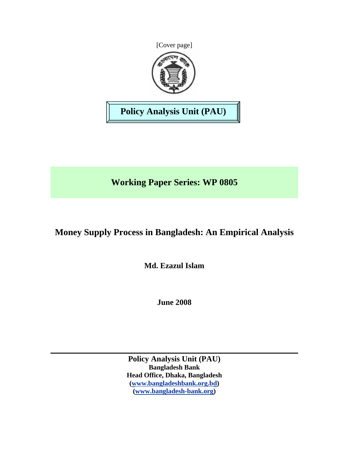



**Policy Analysis Unit (PAU)** 

# **Working Paper Series: WP 0805**

# **Money Supply Process in Bangladesh: An Empirical Analysis**

**Md. Ezazul Islam** 

**June 2008** 

**Policy Analysis Unit (PAU) Bangladesh Bank Head Office, Dhaka, Bangladesh [\(www.bangladeshbank.org.bd\)](http://www.bangladeshbank.org.bd/) [\(www.bangladesh-bank.org\)](http://www.bangladesh-bank.org/)**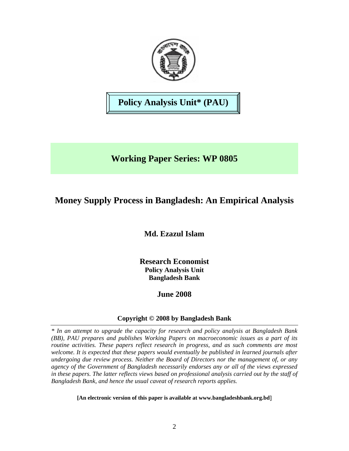

**Policy Analysis Unit\* (PAU)** 

# **Working Paper Series: WP 0805**

# **Money Supply Process in Bangladesh: An Empirical Analysis**

**Md. Ezazul Islam** 

**Research Economist Policy Analysis Unit Bangladesh Bank** 

# **June 2008**

# **Copyright © 2008 by Bangladesh Bank**

*\* In an attempt to upgrade the capacity for research and policy analysis at Bangladesh Bank (BB), PAU prepares and publishes Working Papers on macroeconomic issues as a part of its routine activities. These papers reflect research in progress, and as such comments are most welcome. It is expected that these papers would eventually be published in learned journals after undergoing due review process. Neither the Board of Directors nor the management of, or any agency of the Government of Bangladesh necessarily endorses any or all of the views expressed in these papers. The latter reflects views based on professional analysis carried out by the staff of Bangladesh Bank, and hence the usual caveat of research reports applies.*

**[An electronic version of this paper is available at www.bangladeshbank.org.bd**]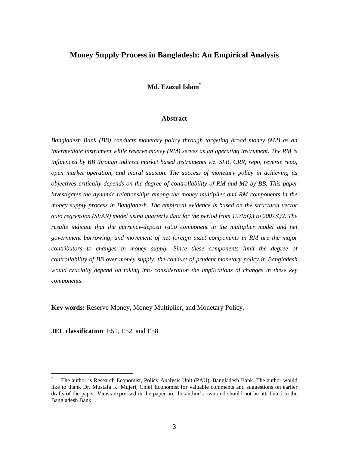# **Money Supply Process in Bangladesh: An Empirical Analysis**

# **Md. Ezazul Isla[m\\*](#page-2-0)**

## **Abstract**

*Bangladesh Bank (BB) conducts monetary policy through targeting broad money (M2) as an intermediate instrument while reserve money (RM) serves as an operating instrument. The RM is influenced by BB through indirect market based instruments viz. SLR, CRR, repo, reverse repo, open market operation, and moral suasion. The success of monetary policy in achieving its objectives critically depends on the degree of controllability of RM and M2 by BB. This paper investigates the dynamic relationships among the money multiplier and RM components in the money supply process in Bangladesh. The empirical evidence is based on the structural vector auto regression (SVAR) model using quarterly data for the period from 1979:Q3 to 2007:Q2. The*  results indicate that the currency-deposit ratio component in the multiplier model and net *government borrowing, and movement of net foreign asset components in RM are the major contributors to changes in money supply. Since these components limit the degree of controllability of BB over money supply, the conduct of prudent monetary policy in Bangladesh would crucially depend on taking into consideration the implications of changes in these key components.* 

**Key words:** Reserve Money, Money Multiplier, and Monetary Policy.

**JEL classification**: E51, E52, and E58.

 $\overline{a}$ 

<span id="page-2-0"></span><sup>\*</sup> The author is Research Economist, Policy Analysis Unit (PAU), Bangladesh Bank. The author would like to thank Dr. Mustafa K. Mujeri, Chief Economist for valuable comments and suggestions on earlier drafts of the paper. Views expressed in the paper are the author's own and should not be attributed to the Bangladesh Bank.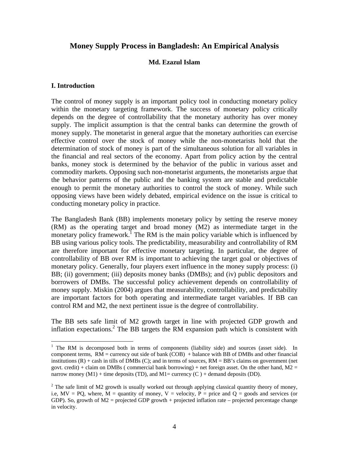# **Money Supply Process in Bangladesh: An Empirical Analysis**

## **Md. Ezazul Islam**

## **I. Introduction**

 $\overline{a}$ 

The control of money supply is an important policy tool in conducting monetary policy within the monetary targeting framework. The success of monetary policy critically depends on the degree of controllability that the monetary authority has over money supply. The implicit assumption is that the central banks can determine the growth of money supply. The monetarist in general argue that the monetary authorities can exercise effective control over the stock of money while the non-monetarists hold that the determination of stock of money is part of the simultaneous solution for all variables in the financial and real sectors of the economy. Apart from policy action by the central banks, money stock is determined by the behavior of the public in various asset and commodity markets. Opposing such non-monetarist arguments, the monetarists argue that the behavior patterns of the public and the banking system are stable and predictable enough to permit the monetary authorities to control the stock of money. While such opposing views have been widely debated, empirical evidence on the issue is critical to conducting monetary policy in practice.

The Bangladesh Bank (BB) implements monetary policy by setting the reserve money (RM) as the operating target and broad money (M2) as intermediate target in the monetary policy framework.<sup>[1](#page-3-0)</sup> The RM is the main policy variable which is influenced by BB using various policy tools. The predictability, measurability and controllability of RM are therefore important for effective monetary targeting. In particular, the degree of controllability of BB over RM is important to achieving the target goal or objectives of monetary policy. Generally, four players exert influence in the money supply process: (i) BB; (ii) government; (iii) deposits money banks (DMBs); and (iv) public depositors and borrowers of DMBs. The successful policy achievement depends on controllability of money supply. Miskin (2004) argues that measurability, controllability, and predictability are important factors for both operating and intermediate target variables. If BB can control RM and M2, the next pertinent issue is the degree of controllability.

The BB sets safe limit of M2 growth target in line with projected GDP growth and inflation expectations.<sup>[2](#page-3-1)</sup> The BB targets the RM expansion path which is consistent with

<span id="page-3-0"></span><sup>&</sup>lt;sup>1</sup> The RM is decomposed both in terms of components (liability side) and sources (asset side). In component terms,  $RM =$  currency out side of bank (COB) + balance with BB of DMBs and other financial institutions  $(R)$  + cash in tills of DMBs  $(C)$ ; and in terms of sources,  $RM = BB$ 's claims on government (net govt. credit) + claim on DMBs (commercial bank borrowing) + net foreign asset. On the other hand,  $M2 =$ narrow money  $(M1)$  + time deposits (TD), and  $M1$  = currency (C) + demand deposits (DD).

<span id="page-3-1"></span><sup>&</sup>lt;sup>2</sup> The safe limit of M2 growth is usually worked out through applying classical quantity theory of money, i.e,  $MV = PQ$ , where,  $M =$  quantity of money,  $V =$  velocity,  $P =$  price and  $Q =$  goods and services (or GDP). So, growth of  $M2$  = projected GDP growth + projected inflation rate – projected percentage change in velocity.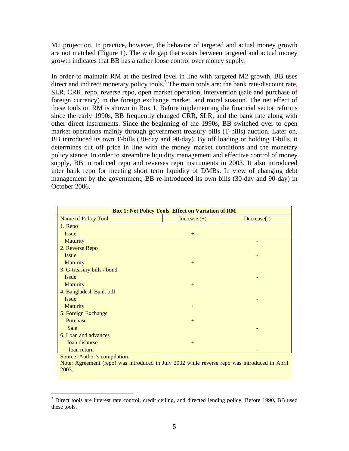M2 projection. In practice, however, the behavior of targeted and actual money growth are not matched (Figure 1). The wide gap that exists between targeted and actual money growth indicates that BB has a rather loose control over money supply.

In order to maintain RM at the desired level in line with targeted M2 growth, BB uses direct and indirect monetary policy tools.<sup>[3](#page-4-0)</sup> The main tools are: the bank rate/discount rate, SLR, CRR, repo, reverse repo, open market operation, intervention (sale and purchase of foreign currency) in the foreign exchange market, and moral suasion. The net effect of these tools on RM is shown in Box 1. Before implementing the financial sector reforms since the early 1990s, BB frequently changed CRR, SLR, and the bank rate along with other direct instruments. Since the beginning of the 1990s, BB switched over to open market operations mainly through government treasury bills (T-bills) auction. Later on, BB introduced its own T-bills (30-day and 90-day). By off loading or holding T-bills, it determines cut off price in line with the money market conditions and the monetary policy stance. In order to streamline liquidity management and effective control of money supply, BB introduced repo and reverses repo instruments in 2003. It also introduced inter bank repo for meeting short term liquidity of DMBs. In view of changing debt management by the government, BB re-introduced its own bills (30-day and 90-day) in October 2006.

| <b>Box 1: Net Policy Tools Effect on Variation of RM</b> |                |             |  |  |  |
|----------------------------------------------------------|----------------|-------------|--|--|--|
| Name of Policy Tool                                      | Increase $(+)$ | Decrease(-) |  |  |  |
| 1. Repo                                                  |                |             |  |  |  |
| <b>Issue</b>                                             | $+$            |             |  |  |  |
| <b>Maturity</b>                                          |                |             |  |  |  |
| 2. Reverse Repo                                          |                |             |  |  |  |
| <b>Issue</b>                                             |                |             |  |  |  |
| <b>Maturity</b>                                          | $+$            |             |  |  |  |
| 3. G-treasury bills / bond                               |                |             |  |  |  |
| <b>Issue</b>                                             |                |             |  |  |  |
| <b>Maturity</b>                                          | $+$            |             |  |  |  |
| 4. Bangladesh Bank bill                                  |                |             |  |  |  |
| <b>Issue</b>                                             |                |             |  |  |  |
| <b>Maturity</b>                                          | $+$            |             |  |  |  |
| 5. Foreign Exchange                                      |                |             |  |  |  |
| Purchase                                                 | $+$            |             |  |  |  |
| Sale                                                     |                |             |  |  |  |
| 6. Loan and advances                                     |                |             |  |  |  |
| loan disburse                                            | $+$            |             |  |  |  |
| loan return                                              |                |             |  |  |  |

Source: Author's compilation.

 $\overline{a}$ 

Note: Agreement (repo) was introduced in July 2002 while reverse repo was introduced in April 2003.

<span id="page-4-0"></span><sup>&</sup>lt;sup>3</sup> Direct tools are interest rate control, credit ceiling, and directed lending policy. Before 1990, BB used these tools.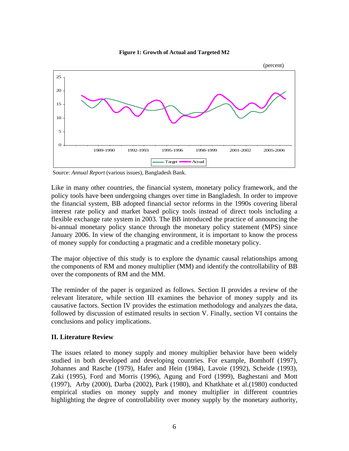



Source: *Annual Report* (various issues), Bangladesh Bank.

Like in many other countries, the financial system, monetary policy framework, and the policy tools have been undergoing changes over time in Bangladesh. In order to improve the financial system, BB adopted financial sector reforms in the 1990s covering liberal interest rate policy and market based policy tools instead of direct tools including a flexible exchange rate system in 2003. The BB introduced the practice of announcing the bi-annual monetary policy stance through the monetary policy statement (MPS) since January 2006. In view of the changing environment, it is important to know the process of money supply for conducting a pragmatic and a credible monetary policy.

The major objective of this study is to explore the dynamic causal relationships among the components of RM and money multiplier (MM) and identify the controllability of BB over the components of RM and the MM.

The reminder of the paper is organized as follows. Section II provides a review of the relevant literature, while section III examines the behavior of money supply and its causative factors. Section IV provides the estimation methodology and analyzes the data, followed by discussion of estimated results in section V. Finally, section VI contains the conclusions and policy implications.

# **II. Literature Review**

The issues related to money supply and money multiplier behavior have been widely studied in both developed and developing countries. For example, Bomhoff (1997), Johannes and Rasche (1979), Hafer and Hein (1984), Lavoie (1992), Scheide (1993), Zaki (1995), Ford and Morris (1996), Agung and Ford (1999), Baghestani and Mott (1997), Arby (2000), Darba (2002), Park (1980), and Khatkhate et al.(1980) conducted empirical studies on money supply and money multiplier in different countries highlighting the degree of controllability over money supply by the monetary authority,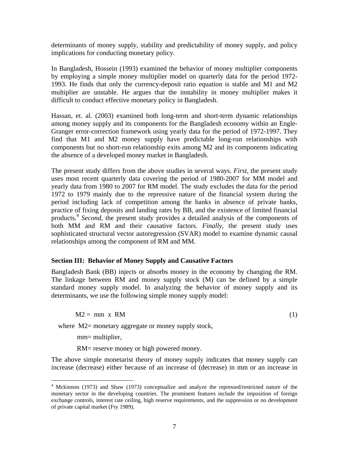determinants of money supply, stability and predictability of money supply, and policy implications for conducting monetary policy.

In Bangladesh, Hossein (1993) examined the behavior of money multiplier components by employing a simple money multiplier model on quarterly data for the period 1972- 1993. He finds that only the currency-deposit ratio equation is stable and M1 and M2 multiplier are unstable. He argues that the instability in money multiplier makes it difficult to conduct effective monetary policy in Bangladesh.

Hassan, et. al. (2003) examined both long-term and short-term dynamic relationships among money supply and its components for the Bangladesh economy within an Engle-Granger error-correction framework using yearly data for the period of 1972-1997. They find that M1 and M2 money supply have predictable long-run relationships with components but no short-run relationship exits among M2 and its components indicating the absence of a developed money market in Bangladesh.

The present study differs from the above studies in several ways. *First*, the present study uses most recent quarterly data covering the period of 1980-2007 for MM model and yearly data from 1980 to 2007 for RM model. The study excludes the data for the period 1972 to 1979 mainly due to the repressive nature of the financial system during the period including lack of competition among the banks in absence of private banks, practice of fixing deposits and landing rates by BB, and the existence of limited financial products[.4](#page-6-0) *Second*, the present study provides a detailed analysis of the components of both MM and RM and their causative factors. *Finally*, the present study uses sophisticated structural vector autoregression (SVAR) model to examine dynamic causal relationships among the component of RM and MM.

# **Section III: Behavior of Money Supply and Causative Factors**

Bangladesh Bank (BB) injects or absorbs money in the economy by changing the RM. The linkage between RM and money supply stock (M) can be defined by a simple standard money supply model. In analyzing the behavior of money supply and its determinants, we use the following simple money supply model:

 $M2 = mm \times RM$  (1)

where M2= monetary aggregate or money supply stock,

mm= multiplier,

 $\overline{a}$ 

RM= reserve money or high powered money.

The above simple monetarist theory of money supply indicates that money supply can increase (decrease) either because of an increase of (decrease) in mm or an increase in

<span id="page-6-0"></span><sup>&</sup>lt;sup>4</sup> Mckinnon (1973) and Shaw (1973) conceptualize and analyze the repressed/restricted nature of the monetary sector in the developing countries. The prominent features include the imposition of foreign exchange controls, interest rate ceiling, high reserve requirements, and the suppression or no development of private capital market (Fry 1989).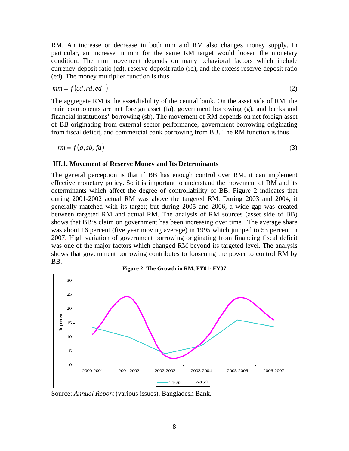RM. An increase or decrease in both mm and RM also changes money supply. In particular, an increase in mm for the same RM target would loosen the monetary condition. The mm movement depends on many behavioral factors which include currency-deposit ratio (cd), reserve-deposit ratio (rd), and the excess reserve-deposit ratio (ed). The money multiplier function is thus

$$
mm = f(cd, rd, ed) \tag{2}
$$

The aggregate RM is the asset/liability of the central bank. On the asset side of RM, the main components are net foreign asset (fa), government borrowing (g), and banks and financial institutions' borrowing (sb). The movement of RM depends on net foreign asset of BB originating from external sector performance, government borrowing originating from fiscal deficit, and commercial bank borrowing from BB. The RM function is thus

$$
rm = f(g, sb, fa) \tag{3}
$$

# **III.1. Movement of Reserve Money and Its Determinants**

The general perception is that if BB has enough control over RM, it can implement effective monetary policy. So it is important to understand the movement of RM and its determinants which affect the degree of controllability of BB. Figure 2 indicates that during 2001-2002 actual RM was above the targeted RM. During 2003 and 2004, it generally matched with its target; but during 2005 and 2006, a wide gap was created between targeted RM and actual RM. The analysis of RM sources (asset side of BB) shows that BB's claim on government has been increasing over time. The average share was about 16 percent (five year moving average) in 1995 which jumped to 53 percent in 2007. High variation of government borrowing originating from financing fiscal deficit was one of the major factors which changed RM beyond its targeted level. The analysis shows that government borrowing contributes to loosening the power to control RM by BB.



Source: *Annual Report* (various issues), Bangladesh Bank.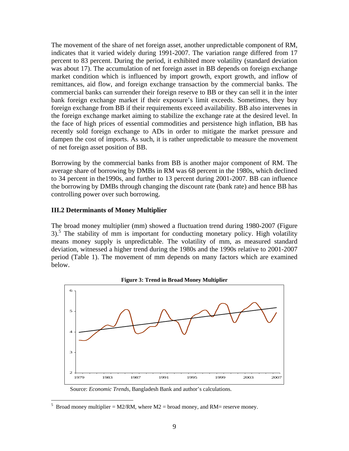The movement of the share of net foreign asset, another unpredictable component of RM, indicates that it varied widely during 1991-2007. The variation range differed from 17 percent to 83 percent. During the period, it exhibited more volatility (standard deviation was about 17). The accumulation of net foreign asset in BB depends on foreign exchange market condition which is influenced by import growth, export growth, and inflow of remittances, aid flow, and foreign exchange transaction by the commercial banks. The commercial banks can surrender their foreign reserve to BB or they can sell it in the inter bank foreign exchange market if their exposure's limit exceeds. Sometimes, they buy foreign exchange from BB if their requirements exceed availability. BB also intervenes in the foreign exchange market aiming to stabilize the exchange rate at the desired level. In the face of high prices of essential commodities and persistence high inflation, BB has recently sold foreign exchange to ADs in order to mitigate the market pressure and dampen the cost of imports. As such, it is rather unpredictable to measure the movement of net foreign asset position of BB.

Borrowing by the commercial banks from BB is another major component of RM. The average share of borrowing by DMBs in RM was 68 percent in the 1980s, which declined to 34 percent in the1990s, and further to 13 percent during 2001-2007. BB can influence the borrowing by DMBs through changing the discount rate (bank rate) and hence BB has controlling power over such borrowing.

# **III.2 Determinants of Money Multiplier**

 $\overline{a}$ 

The broad money multiplier (mm) showed a fluctuation trend during 1980-2007 (Figure 3).<sup>5</sup> The stability of mm is important for conducting monetary policy. High volatility means money supply is unpredictable. The volatility of mm, as measured standard deviation, witnessed a higher trend during the 1980s and the 1990s relative to 2001-2007 period (Table 1). The movement of mm depends on many factors which are examined below.



**Figure 3: Trend in Broad Money Multiplier** 

Source: *Economic Trends*, Bangladesh Bank and author's calculations.

<span id="page-8-0"></span><sup>5</sup> Broad money multiplier = M2/RM, where M2 = broad money, and RM= reserve money.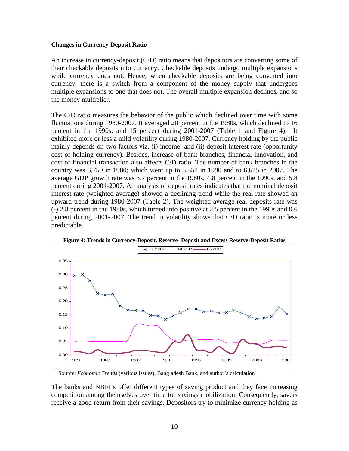#### **Changes in Currency-Deposit Ratio**

An increase in currency-deposit (C/D) ratio means that depositors are converting some of their checkable deposits into currency. Checkable deposits undergo multiple expansions while currency does not. Hence, when checkable deposits are being converted into currency, there is a switch from a component of the money supply that undergoes multiple expansions to one that does not. The overall multiple expansion declines, and so the money multiplier.

The C/D ratio measures the behavior of the public which declined over time with some fluctuations during 1980-2007. It averaged 20 percent in the 1980s, which declined to 16 percent in the 1990s, and 15 percent during 2001-2007 (Table 1 and Figure 4). It exhibited more or less a mild volatility during 1980-2007. Currency holding by the public mainly depends on two factors viz. (i) income; and (ii) deposit interest rate (opportunity cost of holding currency). Besides, increase of bank branches, financial innovation, and cost of financial transaction also affects C/D ratio. The number of bank branches in the country was 3,750 in 1980; which went up to 5,552 in 1990 and to 6,625 in 2007. The average GDP growth rate was 3.7 percent in the 1980s, 4.8 percent in the 1990s, and 5.8 percent during 2001-2007. An analysis of deposit rates indicates that the nominal deposit interest rate (weighted average) showed a declining trend while the real rate showed an upward trend during 1980-2007 (Table 2). The weighted average real deposits rate was (-) 2.8 percent in the 1980s, which turned into positive at 2.5 percent in the 1990s and 0.6 percent during 2001-2007. The trend in volatility shows that C/D ratio is more or less predictable.



**Figure 4: Trends in Currency-Deposit, Reserve- Deposit and Excess Reserve-Deposit Ratios** 

Source: *Economic Trends* (various issues), Bangladesh Bank, and author's calculation

The banks and NBFI's offer different types of saving product and they face increasing competition among themselves over time for savings mobilization. Consequently, savers receive a good return from their savings. Depositors try to minimize currency holding as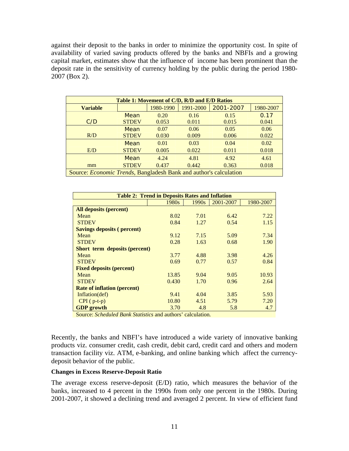against their deposit to the banks in order to minimize the opportunity cost. In spite of availability of varied saving products offered by the banks and NBFIs and a growing capital market, estimates show that the influence of income has been prominent than the deposit rate in the sensitivity of currency holding by the public during the period 1980- 2007 (Box 2).

| Table 1: Movement of C/D, R/D and E/D Ratios                              |                                                  |       |       |       |       |  |  |
|---------------------------------------------------------------------------|--------------------------------------------------|-------|-------|-------|-------|--|--|
| <b>Variable</b>                                                           | 1991-2000<br>1980-1990<br>1980-2007<br>2001-2007 |       |       |       |       |  |  |
|                                                                           | Mean                                             | 0.20  | 0.16  | 0.15  | 0.17  |  |  |
| C/D                                                                       | <b>STDEV</b>                                     | 0.053 | 0.011 | 0.015 | 0.041 |  |  |
|                                                                           | Mean                                             | 0.07  | 0.06  | 0.05  | 0.06  |  |  |
| R/D                                                                       | <b>STDEV</b>                                     | 0.030 | 0.009 | 0.006 | 0.022 |  |  |
|                                                                           | Mean                                             | 0.01  | 0.03  | 0.04  | 0.02  |  |  |
| E/D                                                                       | <b>STDEV</b>                                     | 0.005 | 0.022 | 0.011 | 0.018 |  |  |
|                                                                           | Mean                                             | 4.24  | 4.81  | 4.92  | 4.61  |  |  |
| mm                                                                        | <b>STDEV</b>                                     | 0.437 | 0.442 | 0.363 | 0.018 |  |  |
| Source: <i>Economic Trends</i> , Bangladesh Bank and author's calculation |                                                  |       |       |       |       |  |  |

| <b>Table 2: Trend in Deposits Rates and Inflation</b> |                   |                   |           |           |  |  |
|-------------------------------------------------------|-------------------|-------------------|-----------|-----------|--|--|
|                                                       | 1980 <sub>s</sub> | 1990 <sub>s</sub> | 2001-2007 | 1980-2007 |  |  |
| <b>All deposits (percent)</b>                         |                   |                   |           |           |  |  |
| Mean                                                  | 8.02              | 7.01              | 6.42      | 7.22      |  |  |
| <b>STDEV</b>                                          | 0.84              | 1.27              | 0.54      | 1.15      |  |  |
| <b>Savings deposits (percent)</b>                     |                   |                   |           |           |  |  |
| Mean                                                  | 9.12              | 7.15              | 5.09      | 7.34      |  |  |
| <b>STDEV</b>                                          | 0.28              | 1.63              | 0.68      | 1.90      |  |  |
| <b>Short term deposits (percent)</b>                  |                   |                   |           |           |  |  |
| Mean                                                  | 3.77              | 4.88              | 3.98      | 4.26      |  |  |
| <b>STDEV</b>                                          | 0.69              | 0.77              | 0.57      | 0.84      |  |  |
| <b>Fixed deposits (percent)</b>                       |                   |                   |           |           |  |  |
| Mean                                                  | 13.85             | 9.04              | 9.05      | 10.93     |  |  |
| <b>STDEV</b>                                          | 0.430             | 1.70              | 0.96      | 2.64      |  |  |
| <b>Rate of inflation (percent)</b>                    |                   |                   |           |           |  |  |
| Inflation(def)                                        | 9.41              | 4.04              | 3.85      | 5.93      |  |  |
| $CPI(p-t-p)$                                          | 10.80             | 4.51              | 5.79      | 7.20      |  |  |
| <b>GDP</b> growth                                     | 3.70              | 4.8               | 5.8       | 4.7       |  |  |

Source: *Scheduled Bank Statistics* and authors' calculation*.* 

Recently, the banks and NBFI's have introduced a wide variety of innovative banking products viz. consumer credit, cash credit, debit card, credit card and others and modern transaction facility viz. ATM, e-banking, and online banking which affect the currencydeposit behavior of the public.

## **Changes in Excess Reserve-Deposit Ratio**

The average excess reserve-deposit (E/D) ratio, which measures the behavior of the banks, increased to 4 percent in the 1990s from only one percent in the 1980s. During 2001-2007, it showed a declining trend and averaged 2 percent. In view of efficient fund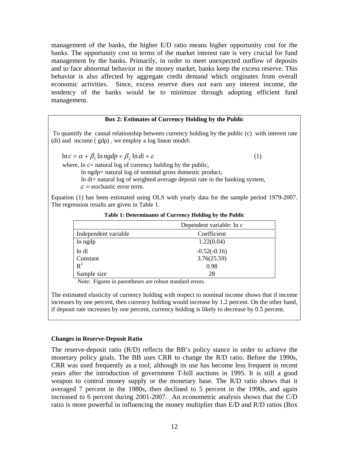management of the banks, the higher E/D ratio means higher opportunity cost for the banks. The opportunity cost in terms of the market interest rate is very crucial for fund management by the banks. Primarily, in order to meet unexpected outflow of deposits and to face abnormal behavior in the money market, banks keep the excess reserve. This behavior is also affected by aggregate credit demand which originates from overall economic activities. Since, excess reserve does not earn any interest income, the tendency of the banks would be to minimize through adopting efficient fund management.

#### **Box 2: Estimates of Currency Holding by the Public**

To quantify the causal relationship between currency holding by the public (c) with interest rate (di) and income ( gdp) , we employ a log linear model:

 $\ln c = \alpha + \beta_1 \ln ngdp + \beta_2 \ln di + \varepsilon$  (1)

where,  $\ln c$  = natural log of currency holding by the public,

ln ngdp= natural log of nominal gross domestic product,

ln di= natural log of weighted average deposit rate in the banking system,

 $\varepsilon$  = stochastic error term.

Equation (1) has been estimated using OLS with yearly data for the sample period 1979-2007. The regression results are given in Table 1.

|                      | Dependent variable: In c |
|----------------------|--------------------------|
| Independent variable | Coefficient              |
| ln ngdp              | 1.22(0.04)               |
| ln di                | $-0.52(-0.16)$           |
| Constant             | 3.76(25.59)              |
| $R^2$                | 0.98                     |
| Sample size          | 28                       |

**Table 1: Determinants of Currency Holding by the Public** 

Note: Figures in parentheses are robust standard errors.

The estimated elasticity of currency holding with respect to nominal income shows that if income increases by one percent, then currency holding would increase by 1.2 percent. On the other hand, if deposit rate increases by one percent, currency holding is likely to decrease by 0.5 percent.

## **Changes in Reserve-Deposit Ratio**

The reserve-deposit ratio (R/D) reflects the BB's policy stance in order to achieve the monetary policy goals. The BB uses CRR to change the R/D ratio. Before the 1990s, CRR was used frequently as a tool; although its use has become less frequent in recent years after the introduction of government T-bill auctions in 1995. It is still a good weapon to control money supply or the monetary base. The R/D ratio shows that it averaged 7 percent in the 1980s, then declined to 5 percent in the 1990s, and again increased to 6 percent during 2001-2007. An econometric analysis shows that the C/D ratio is more powerful in influencing the money multiplier than E/D and R/D ratios (Box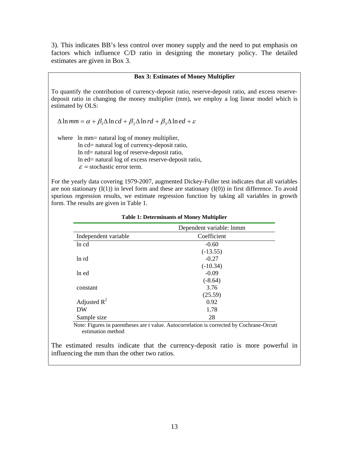3). This indicates BB's less control over money supply and the need to put emphasis on factors which influence C/D ratio in designing the monetary policy. The detailed estimates are given in Box 3.

#### **Box 3: Estimates of Money Multiplier**

To quantify the contribution of currency-deposit ratio, reserve-deposit ratio, and excess reservedeposit ratio in changing the money multiplier (mm), we employ a log linear model which is estimated by OLS:

 $\Delta \ln mm = \alpha + \beta_1 \Delta \ln cd + \beta_2 \Delta \ln rd + \beta_3 \Delta \ln ed + \varepsilon$ 

where ln mm= natural log of money multiplier,

 ln cd= natural log of currency-deposit ratio, ln rd= natural log of reserve-deposit ratio, ln ed= natural log of excess reserve-deposit ratio,  $\varepsilon$  = stochastic error term.

For the yearly data covering 1979-2007, augmented Dickey-Fuller test indicates that all variables are non stationary  $(I(1))$  in level form and these are stationary  $(I(0))$  in first difference. To avoid spurious regression results, we estimate regression function by taking all variables in growth form. The results are given in Table 1.

|                      | Dependent variable: lnmm |
|----------------------|--------------------------|
| Independent variable | Coefficient              |
| ln cd                | $-0.60$                  |
|                      | $(-13.55)$               |
| ln rd                | $-0.27$                  |
|                      | $(-10.34)$               |
| ln ed                | $-0.09$                  |
|                      | $(-8.64)$                |
| constant             | 3.76                     |
|                      | (25.59)                  |
| Adjusted $R^2$       | 0.92                     |
| DW                   | 1.78                     |
| Sample size          | 28                       |

#### **Table 1: Determinants of Money Multiplier**

 Note: Figures in parentheses are t value. Autocorrelation is corrected by Cochrane-Orcutt estimation method

The estimated results indicate that the currency-deposit ratio is more powerful in influencing the mm than the other two ratios.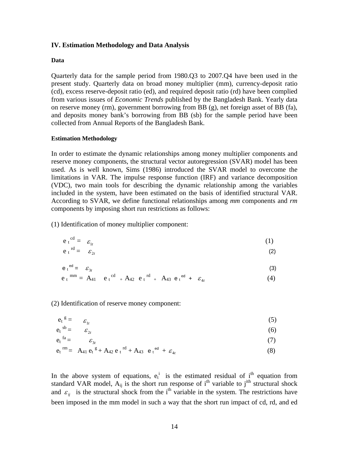## **IV. Estimation Methodology and Data Analysis**

#### **Data**

Quarterly data for the sample period from 1980.Q3 to 2007.Q4 have been used in the present study. Quarterly data on broad money multiplier (mm), currency-deposit ratio (cd), excess reserve-deposit ratio (ed), and required deposit ratio (rd) have been complied from various issues of *Economic Trends* published by the Bangladesh Bank. Yearly data on reserve money (rm), government borrowing from BB (g), net foreign asset of BB (fa), and deposits money bank's borrowing from BB (sb) for the sample period have been collected from Annual Reports of the Bangladesh Bank.

#### **Estimation Methodology**

In order to estimate the dynamic relationships among money multiplier components and reserve money components, the structural vector autoregression (SVAR) model has been used. As is well known, Sims (1986) introduced the SVAR model to overcome the limitations in VAR. The impulse response function (IRF) and variance decomposition (VDC), two main tools for describing the dynamic relationship among the variables included in the system, have been estimated on the basis of identified structural VAR. According to SVAR, we define functional relationships among *mm* components and *rm* components by imposing short run restrictions as follows:

(1) Identification of money multiplier component:

$$
e_t^{cd} = \varepsilon_{1t} \tag{1}
$$

$$
e_t^{rd} = \varepsilon_{2t} \tag{2}
$$

$$
e_t^{ed} = \mathcal{E}_{3t} \tag{3}
$$

$$
e_t^{mm} = A_{41} e_t^{cd} + A_{42} e_t^{rd} + A_{43} e_t^{ed} + \varepsilon_{4t}
$$
 (4)

(2) Identification of reserve money component:

$$
e_t^{\ \mathcal{E}} = \varepsilon_{1t} \tag{5}
$$

$$
e_t^{\text{sb}} = \varepsilon_{2t} \tag{6}
$$

$$
e_t^{fa} = \varepsilon_{3t} \tag{7}
$$

$$
e_t^{\rm rm} = A_{41} e_t^{\rm g} + A_{42} e_t^{\rm rd} + A_{43} e_t^{\rm ed} + \varepsilon_{4t}
$$
 (8)

In the above system of equations,  $e_t^i$  is the estimated residual of i<sup>th</sup> equation from standard VAR model,  $A_{ij}$  is the short run response of i<sup>th</sup> variable to j<sup>ith</sup> structural shock and  $\varepsilon_{ii}$  is the structural shock from the i<sup>th</sup> variable in the system. The restrictions have been imposed in the mm model in such a way that the short run impact of cd, rd, and ed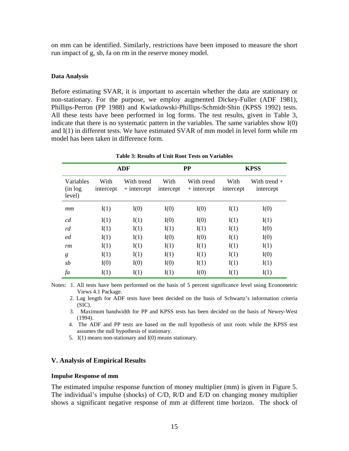on mm can be identified. Similarly, restrictions have been imposed to measure the short run impact of g, sb, fa on rm in the reserve money model.

#### **Data Analysis**

Before estimating SVAR, it is important to ascertain whether the data are stationary or non-stationary. For the purpose, we employ augmented Dickey-Fuller (ADF 1981), Phillips-Perron (PP 1988) and Kwiatkowski-Phillips-Schmidt-Shin (KPSS 1992) tests. All these tests have been performed in log forms. The test results, given in Table 3, indicate that there is no systematic pattern in the variables. The same variables show I(0) and I(1) in different tests. We have estimated SVAR of mm model in level form while rm model has been taken in difference form.

| Variables<br>(in log<br>level) | <b>ADF</b>        |                             | <b>PP</b>         |                             | <b>KPSS</b>       |                             |
|--------------------------------|-------------------|-----------------------------|-------------------|-----------------------------|-------------------|-----------------------------|
|                                | With<br>intercept | With trend<br>$+$ intercept | With<br>intercept | With trend<br>$+$ intercept | With<br>intercept | With trend $+$<br>intercept |
| mm                             | I(1)              | I(0)                        | I(0)              | I(0)                        | I(1)              | I(0)                        |
| cd                             | I(1)              | I(1)                        | I(0)              | I(0)                        | I(1)              | I(1)                        |
| rd                             | I(1)              | I(1)                        | I(1)              | I(1)                        | I(1)              | I(0)                        |
| ed                             | I(1)              | I(1)                        | I(0)              | I(0)                        | I(1)              | I(0)                        |
| rm                             | I(1)              | I(1)                        | I(1)              | I(1)                        | I(1)              | I(1)                        |
| g                              | I(1)              | I(1)                        | I(1)              | I(1)                        | I(1)              | I(0)                        |
| sb                             | I(0)              | I(0)                        | I(0)              | I(1)                        | I(1)              | I(1)                        |
| fa                             | I(1)              | I(1)                        | I(1)              | I(0)                        | I(1)              | I(1)                        |

**Table 3: Results of Unit Root Tests on Variables** 

Notes: 1. All tests have been performed on the basis of 5 percent significance level using Econometric Views 4.1 Package.

 2. Lag length for ADF tests have been decided on the basis of Schwartz's information criteria (SIC).

 3. Maximum bandwidth for PP and KPSS tests has been decided on the basis of Newey-West (1994).

4. The ADF and PP tests are based on the null hypothesis of unit roots while the KPSS test assumes the null hypothesis of stationary.

5. I(1) means non-stationary and I(0) means stationary.

## **V. Analysis of Empirical Results**

#### **Impulse Response of mm**

The estimated impulse response function of money multiplier (mm) is given in Figure 5. The individual's impulse (shocks) of C/D, R/D and E/D on changing money multiplier shows a significant negative response of mm at different time horizon. The shock of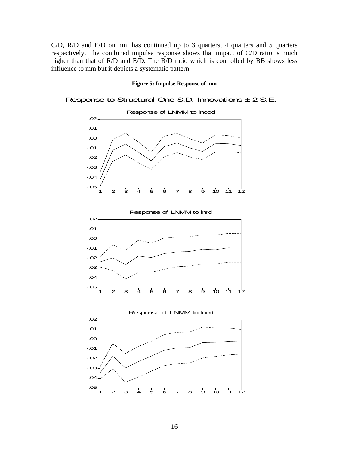C/D, R/D and E/D on mm has continued up to 3 quarters, 4 quarters and 5 quarters respectively. The combined impulse response shows that impact of C/D ratio is much higher than that of R/D and E/D. The R/D ratio which is controlled by BB shows less influence to mm but it depicts a systematic pattern.

#### **Figure 5: Impulse Response of mm**

# Response to Structural One S.D. Innovations  $\pm$  2 S.E.







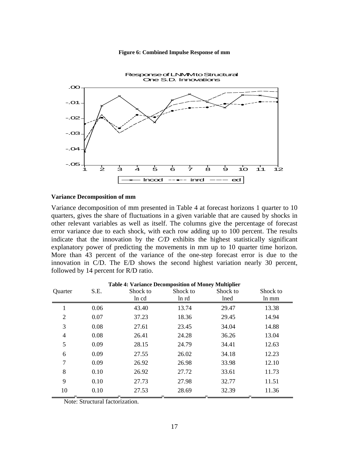#### **Figure 6: Combined Impulse Response of mm**



### **Variance Decomposition of mm**

Variance decomposition of mm presented in Table 4 at forecast horizons 1 quarter to 10 quarters, gives the share of fluctuations in a given variable that are caused by shocks in other relevant variables as well as itself. The columns give the percentage of forecast error variance due to each shock, with each row adding up to 100 percent. The results indicate that the innovation by the *C/D* exhibits the highest statistically significant explanatory power of predicting the movements in mm up to 10 quarter time horizon. More than 43 percent of the variance of the one-step forecast error is due to the innovation in C/D. The E/D shows the second highest variation nearly 30 percent, followed by 14 percent for R/D ratio.

| <b>Table 4: Variance Decomposition of Money Multiplier</b> |      |          |          |          |          |
|------------------------------------------------------------|------|----------|----------|----------|----------|
| Quarter                                                    | S.E. | Shock to | Shock to | Shock to | Shock to |
|                                                            |      | ln cd    | ln rd    | lned     | ln mm    |
|                                                            | 0.06 | 43.40    | 13.74    | 29.47    | 13.38    |
| 2                                                          | 0.07 | 37.23    | 18.36    | 29.45    | 14.94    |
| 3                                                          | 0.08 | 27.61    | 23.45    | 34.04    | 14.88    |
| 4                                                          | 0.08 | 26.41    | 24.28    | 36.26    | 13.04    |
| 5                                                          | 0.09 | 28.15    | 24.79    | 34.41    | 12.63    |
| 6                                                          | 0.09 | 27.55    | 26.02    | 34.18    | 12.23    |
| 7                                                          | 0.09 | 26.92    | 26.98    | 33.98    | 12.10    |
| 8                                                          | 0.10 | 26.92    | 27.72    | 33.61    | 11.73    |
| 9                                                          | 0.10 | 27.73    | 27.98    | 32.77    | 11.51    |
| 10                                                         | 0.10 | 27.53    | 28.69    | 32.39    | 11.36    |

Note: Structural factorization.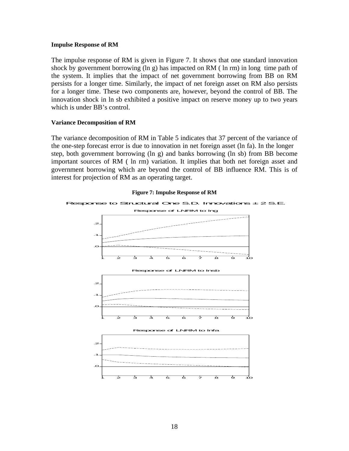#### **Impulse Response of RM**

The impulse response of RM is given in Figure 7. It shows that one standard innovation shock by government borrowing (ln g) has impacted on RM ( ln rm) in long time path of the system. It implies that the impact of net government borrowing from BB on RM persists for a longer time. Similarly, the impact of net foreign asset on RM also persists for a longer time. These two components are, however, beyond the control of BB. The innovation shock in ln sb exhibited a positive impact on reserve money up to two years which is under BB's control.

## **Variance Decomposition of RM**

The variance decomposition of RM in Table 5 indicates that 37 percent of the variance of the one-step forecast error is due to innovation in net foreign asset (ln fa). In the longer step, both government borrowing (ln g) and banks borrowing (ln sb) from BB become important sources of RM ( ln rm) variation. It implies that both net foreign asset and government borrowing which are beyond the control of BB influence RM. This is of interest for projection of RM as an operating target.



#### **Figure 7: Impulse Response of RM**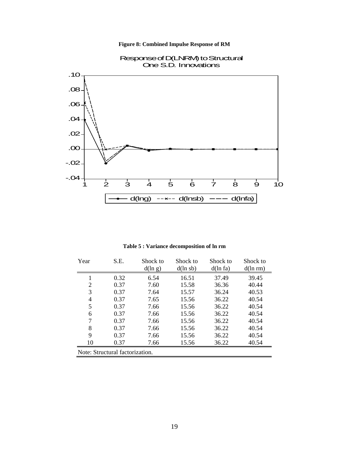**Figure 8: Combined Impulse Response of RM** 



Response of D(LNRM) to Structural One S.D. Innovations

**Table 5 : Variance decomposition of ln rm**

| Year | S.E.                            | Shock to | Shock to | Shock to | Shock to |  |  |
|------|---------------------------------|----------|----------|----------|----------|--|--|
|      |                                 | d(ln g)  | d(ln sb) | d(ln fa) | d(ln rm) |  |  |
|      | 0.32                            | 6.54     | 16.51    | 37.49    | 39.45    |  |  |
| 2    | 0.37                            | 7.60     | 15.58    | 36.36    | 40.44    |  |  |
| 3    | 0.37                            | 7.64     | 15.57    | 36.24    | 40.53    |  |  |
| 4    | 0.37                            | 7.65     | 15.56    | 36.22    | 40.54    |  |  |
| 5    | 0.37                            | 7.66     | 15.56    | 36.22    | 40.54    |  |  |
| 6    | 0.37                            | 7.66     | 15.56    | 36.22    | 40.54    |  |  |
| 7    | 0.37                            | 7.66     | 15.56    | 36.22    | 40.54    |  |  |
| 8    | 0.37                            | 7.66     | 15.56    | 36.22    | 40.54    |  |  |
| 9    | 0.37                            | 7.66     | 15.56    | 36.22    | 40.54    |  |  |
| 10   | 0.37                            | 7.66     | 15.56    | 36.22    | 40.54    |  |  |
|      | Note: Structural factorization. |          |          |          |          |  |  |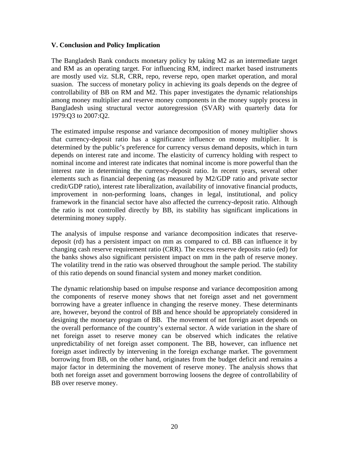# **V. Conclusion and Policy Implication**

The Bangladesh Bank conducts monetary policy by taking M2 as an intermediate target and RM as an operating target. For influencing RM, indirect market based instruments are mostly used viz. SLR, CRR, repo, reverse repo, open market operation, and moral suasion. The success of monetary policy in achieving its goals depends on the degree of controllability of BB on RM and M2. This paper investigates the dynamic relationships among money multiplier and reserve money components in the money supply process in Bangladesh using structural vector autoregression (SVAR) with quarterly data for 1979:Q3 to 2007:Q2.

The estimated impulse response and variance decomposition of money multiplier shows that currency-deposit ratio has a significance influence on money multiplier. It is determined by the public's preference for currency versus demand deposits, which in turn depends on interest rate and income. The elasticity of currency holding with respect to nominal income and interest rate indicates that nominal income is more powerful than the interest rate in determining the currency-deposit ratio. In recent years, several other elements such as financial deepening (as measured by M2/GDP ratio and private sector credit/GDP ratio), interest rate liberalization, availability of innovative financial products, improvement in non-performing loans, changes in legal, institutional, and policy framework in the financial sector have also affected the currency-deposit ratio. Although the ratio is not controlled directly by BB, its stability has significant implications in determining money supply.

The analysis of impulse response and variance decomposition indicates that reservedeposit (rd) has a persistent impact on mm as compared to cd. BB can influence it by changing cash reserve requirement ratio (CRR). The excess reserve deposits ratio (ed) for the banks shows also significant persistent impact on mm in the path of reserve money. The volatility trend in the ratio was observed throughout the sample period. The stability of this ratio depends on sound financial system and money market condition.

The dynamic relationship based on impulse response and variance decomposition among the components of reserve money shows that net foreign asset and net government borrowing have a greater influence in changing the reserve money. These determinants are, however, beyond the control of BB and hence should be appropriately considered in designing the monetary program of BB. The movement of net foreign asset depends on the overall performance of the country's external sector. A wide variation in the share of net foreign asset to reserve money can be observed which indicates the relative unpredictability of net foreign asset component. The BB, however, can influence net foreign asset indirectly by intervening in the foreign exchange market. The government borrowing from BB, on the other hand, originates from the budget deficit and remains a major factor in determining the movement of reserve money. The analysis shows that both net foreign asset and government borrowing loosens the degree of controllability of BB over reserve money.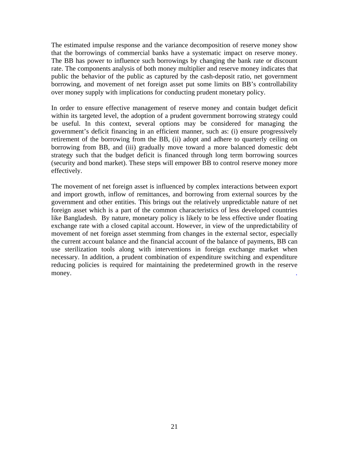The estimated impulse response and the variance decomposition of reserve money show that the borrowings of commercial banks have a systematic impact on reserve money. The BB has power to influence such borrowings by changing the bank rate or discount rate. The components analysis of both money multiplier and reserve money indicates that public the behavior of the public as captured by the cash-deposit ratio, net government borrowing, and movement of net foreign asset put some limits on BB's controllability over money supply with implications for conducting prudent monetary policy.

In order to ensure effective management of reserve money and contain budget deficit within its targeted level, the adoption of a prudent government borrowing strategy could be useful. In this context, several options may be considered for managing the government's deficit financing in an efficient manner, such as: (i) ensure progressively retirement of the borrowing from the BB, (ii) adopt and adhere to quarterly ceiling on borrowing from BB, and (iii) gradually move toward a more balanced domestic debt strategy such that the budget deficit is financed through long term borrowing sources (security and bond market). These steps will empower BB to control reserve money more effectively.

The movement of net foreign asset is influenced by complex interactions between export and import growth, inflow of remittances, and borrowing from external sources by the government and other entities. This brings out the relatively unpredictable nature of net foreign asset which is a part of the common characteristics of less developed countries like Bangladesh. By nature, monetary policy is likely to be less effective under floating exchange rate with a closed capital account. However, in view of the unpredictability of movement of net foreign asset stemming from changes in the external sector, especially the current account balance and the financial account of the balance of payments, BB can use sterilization tools along with interventions in foreign exchange market when necessary. In addition, a prudent combination of expenditure switching and expenditure reducing policies is required for maintaining the predetermined growth in the reserve money.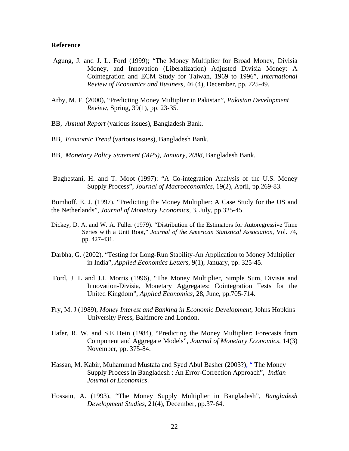#### **Reference**

- Agung, J. and J. L. Ford (1999); "The Money Multiplier for Broad Money, Divisia Money, and Innovation (Liberalization) Adjusted Divisia Money: A Cointegration and ECM Study for Taiwan, 1969 to 1996", *International Review of Economics and Business,* 46 (4), December, pp. 725-49.
- Arby, M. F. (2000), "Predicting Money Multiplier in Pakistan", *Pakistan Development Review*, Spring, 39(1), pp. 23-35.
- BB, *Annual Report* (various issues), Bangladesh Bank.
- BB, *Economic Trend* (various issues), Bangladesh Bank.
- BB, *Monetary Policy Statement (MPS), January, 2008*, Bangladesh Bank.
- Baghestani, H. and T. Moot (1997): "A Co-integration Analysis of the U.S. Money Supply Process", *Journal of Macroeconomics*, 19(2), April, pp.269-83.

Bomhoff, E. J. (1997), "Predicting the Money Multiplier: A Case Study for the US and the Netherlands", *Journal of Monetary Economics*, 3, July, pp.325-45.

- Dickey, D. A. and W. A. Fuller (1979). "Distribution of the Estimators for Autoregressive Time Series with a Unit Root," *Journal of the American Statistical Association*, Vol. 74, pp. 427-431.
- Darbha, G. (2002), "Testing for Long-Run Stability-An Application to Money Multiplier in India", *Applied Economics Letters,* 9(1), January, pp. 325-45.
- Ford, J. L and J.L Morris (1996), "The Money Multiplier, Simple Sum, Divisia and Innovation-Divisia, Monetary Aggregates: Cointegration Tests for the United Kingdom", *Applied Economics,* 28, June, pp.705-714.
- Fry, M. J (1989), *Money Interest and Banking in Economic Development*, Johns Hopkins University Press, Baltimore and London.
- Hafer, R. W. and S.E Hein (1984), "Predicting the Money Multiplier: Forecasts from Component and Aggregate Models", *Journal of Monetary Economics,* 14(3) November, pp. 375-84.
- Hassan, M. Kabir, Muhammad Mustafa and Syed Abul Basher (2003?), " The Money Supply Process in Bangladesh : An Error-Correction Approach", *Indian Journal of Economics*.
- Hossain, A. (1993), "The Money Supply Multiplier in Bangladesh", *Bangladesh Development Studies*, 21(4), December, pp.37-64.